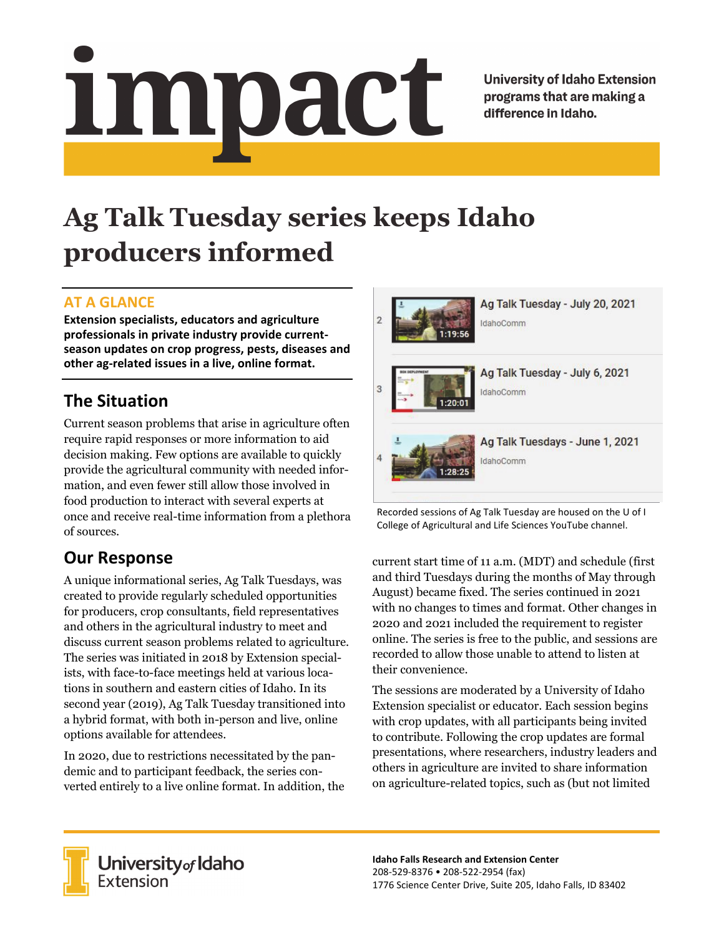# <u>impact</u>

**University of Idaho Extension** programs that are making a difference in Idaho.

# **Ag Talk Tuesday series keeps Idaho producers informed**

# **AT A GLANCE**

**Extension specialists, educators and agriculture professionals in private industry provide current‐ season updates on crop progress, pests, diseases and other ag‐related issues in a live, online format.**

# **The Situation**

Current season problems that arise in agriculture often require rapid responses or more information to aid decision making. Few options are available to quickly provide the agricultural community with needed information, and even fewer still allow those involved in food production to interact with several experts at once and receive real-time information from a plethora of sources.

# **Our Response**

A unique informational series, Ag Talk Tuesdays, was created to provide regularly scheduled opportunities for producers, crop consultants, field representatives and others in the agricultural industry to meet and discuss current season problems related to agriculture. The series was initiated in 2018 by Extension specialists, with face-to-face meetings held at various locations in southern and eastern cities of Idaho. In its second year (2019), Ag Talk Tuesday transitioned into a hybrid format, with both in-person and live, online options available for attendees.

In 2020, due to restrictions necessitated by the pandemic and to participant feedback, the series converted entirely to a live online format. In addition, the



Recorded sessions of Ag Talk Tuesday are housed on the U of I College of Agricultural and Life Sciences YouTube channel.

current start time of 11 a.m. (MDT) and schedule (first and third Tuesdays during the months of May through August) became fixed. The series continued in 2021 with no changes to times and format. Other changes in 2020 and 2021 included the requirement to register online. The series is free to the public, and sessions are recorded to allow those unable to attend to listen at their convenience.

The sessions are moderated by a University of Idaho Extension specialist or educator. Each session begins with crop updates, with all participants being invited to contribute. Following the crop updates are formal presentations, where researchers, industry leaders and others in agriculture are invited to share information on agriculture-related topics, such as (but not limited



University of Idaho<br>Extension

**Idaho Falls Research and Extension Center** 208‐529‐8376 • 208‐522‐2954 (fax) 1776 Science Center Drive, Suite 205, Idaho Falls, ID 83402